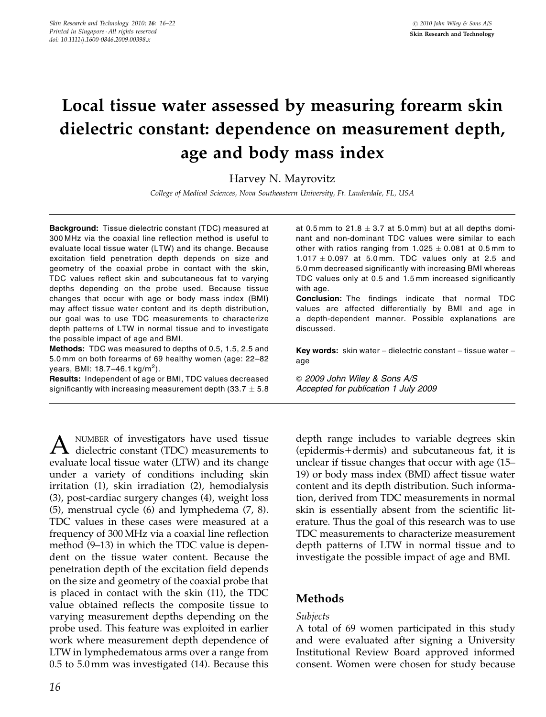# Local tissue water assessed by measuring forearm skin dielectric constant: dependence on measurement depth, age and body mass index

Harvey N. Mayrovitz

College of Medical Sciences, Nova Southeastern University, Ft. Lauderdale, FL, USA

Background: Tissue dielectric constant (TDC) measured at 300 MHz via the coaxial line reflection method is useful to evaluate local tissue water (LTW) and its change. Because excitation field penetration depth depends on size and geometry of the coaxial probe in contact with the skin, TDC values reflect skin and subcutaneous fat to varying depths depending on the probe used. Because tissue changes that occur with age or body mass index (BMI) may affect tissue water content and its depth distribution, our goal was to use TDC measurements to characterize depth patterns of LTW in normal tissue and to investigate the possible impact of age and BMI.

Methods: TDC was measured to depths of 0.5, 1.5, 2.5 and 5.0 mm on both forearms of 69 healthy women (age: 22–82 years, BMI: 18.7–46.1 kg/m<sup>2</sup>).

Results: Independent of age or BMI, TDC values decreased significantly with increasing measurement depth (33.7  $\pm$  5.8  $\,$ 

 $A$  NUMBER of investigators have used tissue<br>dielectric constant (TDC) measurements to evaluate local tissue water (LTW) and its change under a variety of conditions including skin irritation (1), skin irradiation (2), hemodialysis (3), post-cardiac surgery changes (4), weight loss (5), menstrual cycle (6) and lymphedema (7, 8). TDC values in these cases were measured at a frequency of 300 MHz via a coaxial line reflection method (9–13) in which the TDC value is dependent on the tissue water content. Because the penetration depth of the excitation field depends on the size and geometry of the coaxial probe that is placed in contact with the skin (11), the TDC value obtained reflects the composite tissue to varying measurement depths depending on the probe used. This feature was exploited in earlier work where measurement depth dependence of LTW in lymphedematous arms over a range from 0.5 to 5.0 mm was investigated (14). Because this

at 0.5mm to 21.8  $\pm$  3.7 at 5.0mm) but at all depths dominant and non-dominant TDC values were similar to each other with ratios ranging from 1.025  $\pm$  0.081 at 0.5 mm to  $1.017 \pm 0.097$  at 5.0 mm. TDC values only at 2.5 and 5.0 mm decreased significantly with increasing BMI whereas TDC values only at 0.5 and 1.5 mm increased significantly with age.

Conclusion: The findings indicate that normal TDC values are affected differentially by BMI and age in a depth-dependent manner. Possible explanations are discussed.

Key words: skin water - dielectric constant - tissue water age

& 2009 John Wiley & Sons A/S Accepted for publication 1 July 2009

depth range includes to variable degrees skin  $(epidermis+dermis)$  and subcutaneous fat, it is unclear if tissue changes that occur with age (15– 19) or body mass index (BMI) affect tissue water content and its depth distribution. Such information, derived from TDC measurements in normal skin is essentially absent from the scientific literature. Thus the goal of this research was to use TDC measurements to characterize measurement depth patterns of LTW in normal tissue and to investigate the possible impact of age and BMI.

## Methods

#### Subjects

A total of 69 women participated in this study and were evaluated after signing a University Institutional Review Board approved informed consent. Women were chosen for study because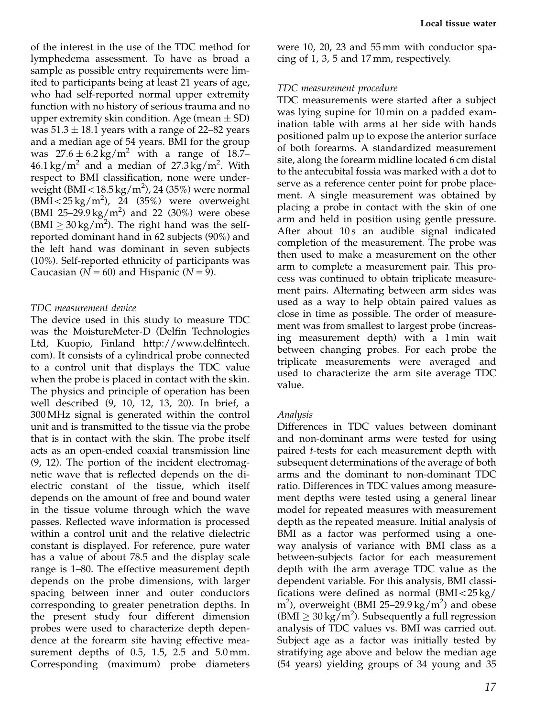of the interest in the use of the TDC method for lymphedema assessment. To have as broad a sample as possible entry requirements were limited to participants being at least 21 years of age, who had self-reported normal upper extremity function with no history of serious trauma and no upper extremity skin condition. Age (mean  $\pm$  SD) was 51.3  $\pm$  18.1 years with a range of 22–82 years and a median age of 54 years. BMI for the group was  $27.6 \pm 6.2 \text{ kg/m}^2$  with a range of 18.7- $46.1 \text{ kg/m}^2$  and a median of  $27.3 \text{ kg/m}^2$ . With respect to BMI classification, none were underweight (BMI $<$ 18.5 kg/m<sup>2</sup>), 24 (35%) were normal  $(B\overline{MI} < 25 \text{ kg/m}^2)$ , 24 (35%) were overweight (BMI 25-29.9 kg/m<sup>2</sup>) and 22 (30%) were obese  $(BMI \geq 30 \text{ kg/m}^2)$ . The right hand was the selfreported dominant hand in 62 subjects (90%) and the left hand was dominant in seven subjects (10%). Self-reported ethnicity of participants was Caucasian ( $N = 60$ ) and Hispanic ( $N = 9$ ).

## TDC measurement device

The device used in this study to measure TDC was the MoistureMeter-D (Delfin Technologies Ltd, Kuopio, Finland [http://www.delfintech.](http://www.delfintech.com) [com\). It consists of a cylindrical probe connected](http://www.delfintech.com) [to a control unit that displays the TDC value](http://www.delfintech.com) [when the probe is placed in contact with the skin.](http://www.delfintech.com) [The physics and principle of operation has been](http://www.delfintech.com) [well described \(9, 10, 12, 13, 20\). In brief, a](http://www.delfintech.com) [300 MHz signal is generated within the control](http://www.delfintech.com) [unit and is transmitted to the tissue via the probe](http://www.delfintech.com) [that is in contact with the skin. The probe itself](http://www.delfintech.com) [acts as an open-ended coaxial transmission line](http://www.delfintech.com) [\(9, 12\). The portion of the incident electromag](http://www.delfintech.com)[netic wave that is reflected depends on the di](http://www.delfintech.com)[electric constant of the tissue, which itself](http://www.delfintech.com) [depends on the amount of free and bound water](http://www.delfintech.com) [in the tissue volume through which the wave](http://www.delfintech.com) [passes. Reflected wave information is processed](http://www.delfintech.com) [within a control unit and the relative dielectric](http://www.delfintech.com) [constant is displayed. For reference, pure water](http://www.delfintech.com) [has a value of about 78.5 and the display scale](http://www.delfintech.com) [range is 1–80. The effective measurement depth](http://www.delfintech.com) [depends on the probe dimensions, with larger](http://www.delfintech.com) [spacing between inner and outer conductors](http://www.delfintech.com) [corresponding to greater penetration depths. In](http://www.delfintech.com) [the present study four different dimension](http://www.delfintech.com) [probes were used to characterize depth depen](http://www.delfintech.com)[dence at the forearm site having effective mea](http://www.delfintech.com)[surement depths of 0.5, 1.5, 2.5 and 5.0 mm.](http://www.delfintech.com) [Corresponding \(maximum\) probe diameters](http://www.delfintech.com)

[were 10, 20, 23 and 55 mm with conductor spa](http://www.delfintech.com)[cing of 1, 3, 5 and 17 mm, respectively.](http://www.delfintech.com)

## TDC measurement procedure

TDC measurements were started after a subject was lying supine for 10 min on a padded examination table with arms at her side with hands positioned palm up to expose the anterior surface of both forearms. A standardized measurement site, along the forearm midline located 6 cm distal to the antecubital fossia was marked with a dot to serve as a reference center point for probe placement. A single measurement was obtained by placing a probe in contact with the skin of one arm and held in position using gentle pressure. After about 10s an audible signal indicated completion of the measurement. The probe was then used to make a measurement on the other arm to complete a measurement pair. This process was continued to obtain triplicate measurement pairs. Alternating between arm sides was used as a way to help obtain paired values as close in time as possible. The order of measurement was from smallest to largest probe (increasing measurement depth) with a 1 min wait between changing probes. For each probe the triplicate measurements were averaged and used to characterize the arm site average TDC value.

## Analysis

Differences in TDC values between dominant and non-dominant arms were tested for using paired t-tests for each measurement depth with subsequent determinations of the average of both arms and the dominant to non-dominant TDC ratio. Differences in TDC values among measurement depths were tested using a general linear model for repeated measures with measurement depth as the repeated measure. Initial analysis of BMI as a factor was performed using a oneway analysis of variance with BMI class as a between-subjects factor for each measurement depth with the arm average TDC value as the dependent variable. For this analysis, BMI classifications were defined as normal  $(BMI < 25 kg/$  $m<sup>2</sup>$ ), overweight (BMI 25-29.9 kg/ $m<sup>2</sup>$ ) and obese (BMI  $\geq 30 \text{ kg/m}^2$ ). Subsequently a full regression analysis of TDC values vs. BMI was carried out. Subject age as a factor was initially tested by stratifying age above and below the median age (54 years) yielding groups of 34 young and 35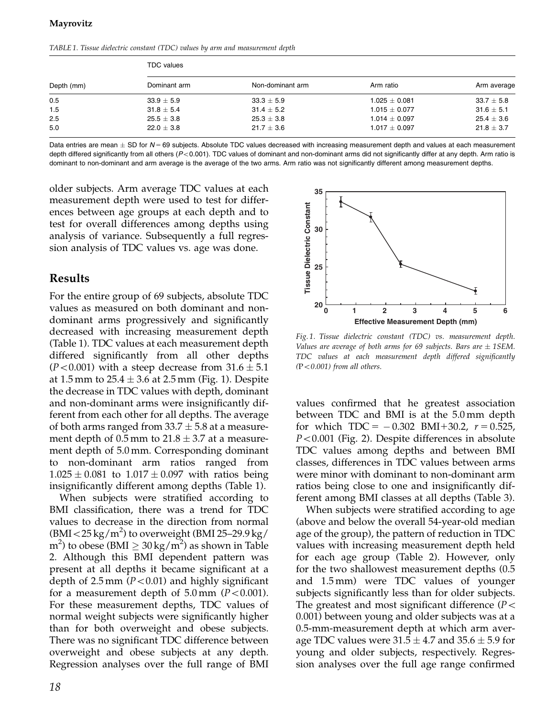TABLE 1. Tissue dielectric constant (TDC) values by arm and measurement depth

| Depth (mm) | <b>TDC</b> values |                  |                   |                |  |  |  |
|------------|-------------------|------------------|-------------------|----------------|--|--|--|
|            | Dominant arm      | Non-dominant arm | Arm ratio         | Arm average    |  |  |  |
| 0.5        | $33.9 \pm 5.9$    | $33.3 \pm 5.9$   | $1.025 \pm 0.081$ | $33.7 \pm 5.8$ |  |  |  |
| 1.5        | $31.8 \pm 5.4$    | $31.4 \pm 5.2$   | $1.015 \pm 0.077$ | $31.6 \pm 5.1$ |  |  |  |
| 2.5        | $25.5 \pm 3.8$    | $25.3 \pm 3.8$   | $1.014 \pm 0.097$ | $25.4 \pm 3.6$ |  |  |  |
| 5.0        | $22.0 \pm 3.8$    | $21.7 \pm 3.6$   | $1.017 \pm 0.097$ | $21.8 \pm 3.7$ |  |  |  |

Data entries are mean  $\pm$  SD for N= 69 subjects. Absolute TDC values decreased with increasing measurement depth and values at each measurement depth differed significantly from all others  $(P<0.001)$ . TDC values of dominant and non-dominant arms did not significantly differ at any depth. Arm ratio is dominant to non-dominant and arm average is the average of the two arms. Arm ratio was not significantly different among measurement depths.

older subjects. Arm average TDC values at each measurement depth were used to test for differences between age groups at each depth and to test for overall differences among depths using analysis of variance. Subsequently a full regression analysis of TDC values vs. age was done.

## Results

For the entire group of 69 subjects, absolute TDC values as measured on both dominant and nondominant arms progressively and significantly decreased with increasing measurement depth (Table 1). TDC values at each measurement depth differed significantly from all other depths (P<0.001) with a steep decrease from 31.6  $\pm$  5.1  $\,$ at 1.5 mm to 25.4  $\pm$  3.6 at 2.5 mm (Fig. 1). Despite the decrease in TDC values with depth, dominant and non-dominant arms were insignificantly different from each other for all depths. The average of both arms ranged from 33.7  $\pm$  5.8 at a measurement depth of 0.5 mm to 21.8  $\pm$  3.7 at a measurement depth of 5.0 mm. Corresponding dominant to non-dominant arm ratios ranged from  $1.025 \pm 0.081$  to  $1.017 \pm 0.097$  with ratios being insignificantly different among depths (Table 1).

When subjects were stratified according to BMI classification, there was a trend for TDC values to decrease in the direction from normal (BMI  $<$  25 kg/m<sup>2</sup>) to overweight (BMI 25–29.9 kg/ m<sup>2</sup>) to obese (BMI  $\geq 30\,\mathrm{kg/m^2})$  as shown in Table 2. Although this BMI dependent pattern was present at all depths it became significant at a depth of  $2.5$  mm ( $P < 0.01$ ) and highly significant for a measurement depth of  $5.0 \text{ mm}$  ( $P < 0.001$ ). For these measurement depths, TDC values of normal weight subjects were significantly higher than for both overweight and obese subjects. There was no significant TDC difference between overweight and obese subjects at any depth. Regression analyses over the full range of BMI



Fig. 1. Tissue dielectric constant (TDC) vs. measurement depth. Values are average of both arms for 69 subjects. Bars are  $\pm$  1SEM. TDC values at each measurement depth differed significantly  $(P<0.001)$  from all others.

values confirmed that he greatest association between TDC and BMI is at the 5.0 mm depth for which  $TDC = -0.302$  BMI+30.2,  $r = 0.525$ ,  $P < 0.001$  (Fig. 2). Despite differences in absolute TDC values among depths and between BMI classes, differences in TDC values between arms were minor with dominant to non-dominant arm ratios being close to one and insignificantly different among BMI classes at all depths (Table 3).

When subjects were stratified according to age (above and below the overall 54-year-old median age of the group), the pattern of reduction in TDC values with increasing measurement depth held for each age group (Table 2). However, only for the two shallowest measurement depths (0.5 and 1.5 mm) were TDC values of younger subjects significantly less than for older subjects. The greatest and most significant difference ( $P <$ 0.001) between young and older subjects was at a 0.5-mm-measurement depth at which arm average TDC values were 31.5  $\pm$  4.7 and 35.6  $\pm$  5.9 for young and older subjects, respectively. Regression analyses over the full age range confirmed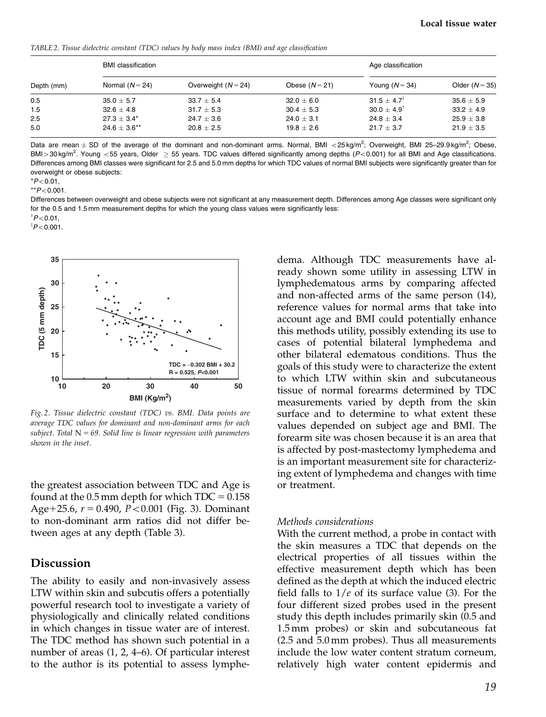TABLE 2. Tissue dielectric constant (TDC) values by body mass index (BMI) and age classification

| Depth (mm) | <b>BMI</b> classification |                       |                | Age classification       |                  |
|------------|---------------------------|-----------------------|----------------|--------------------------|------------------|
|            | Normal $(N = 24)$         | Overweight $(N = 24)$ | Obese $(N=21)$ | Young $(N = 34)$         | Older $(N = 35)$ |
| 0.5        | $35.0 \pm 5.7$            | $33.7 \pm 5.4$        | $32.0 \pm 6.0$ | $31.5 + 4.7^{\ddagger}$  | $35.6 \pm 5.9$   |
| 1.5        | $32.6 \pm 4.8$            | $31.7 \pm 5.3$        | $30.4 \pm 5.3$ | $30.0 \pm 4.9^{\dagger}$ | $33.2 \pm 4.9$   |
| 2.5        | $27.3 \pm 3.4^*$          | $24.7 \pm 3.6$        | $24.0 \pm 3.1$ | $24.8 \pm 3.4$           | $25.9 \pm 3.8$   |
| 5.0        | $24.6 \pm 3.6***$         | $20.8 \pm 2.5$        | $19.8 + 2.6$   | $21.7 + 3.7$             | $21.9 + 3.5$     |

Data are mean  $\pm$  SD of the average of the dominant and non-dominant arms. Normal, BMI <25 kg/m<sup>2</sup>; Overweight, BMI 25-29.9 kg/m<sup>2</sup>; Obese, BMI > 30 kg/m<sup>2</sup>. Young <55 years, Older  $\geq$  55 years. TDC values differed significantly among depths (P<0.001) for all BMI and Age classifications. Differences among BMI classes were significant for 2.5 and 5.0 mm depths for which TDC values of normal BMI subjects were significantly greater than for overweight or obese subjects:

 $*P<0.01$ .

 $*$  $P$ < 0.001.

Differences between overweight and obese subjects were not significant at any measurement depth. Differences among Age classes were significant only for the 0.5 and 1.5 mm measurement depths for which the young class values were significantly less:

 $\frac{1}{2}P<0.01$ 

 $\frac{1}{7}P<0.001$ .



Fig. 2. Tissue dielectric constant (TDC) vs. BMI. Data points are average TDC values for dominant and non-dominant arms for each subject. Total  $N = 69$ . Solid line is linear regression with parameters shown in the inset.

the greatest association between TDC and Age is found at the 0.5 mm depth for which  $TDC = 0.158$ Age+25.6,  $r = 0.490$ ,  $P < 0.001$  (Fig. 3). Dominant to non-dominant arm ratios did not differ between ages at any depth (Table 3).

## Discussion

The ability to easily and non-invasively assess LTW within skin and subcutis offers a potentially powerful research tool to investigate a variety of physiologically and clinically related conditions in which changes in tissue water are of interest. The TDC method has shown such potential in a number of areas (1, 2, 4–6). Of particular interest to the author is its potential to assess lymphedema. Although TDC measurements have already shown some utility in assessing LTW in lymphedematous arms by comparing affected and non-affected arms of the same person (14), reference values for normal arms that take into account age and BMI could potentially enhance this methods utility, possibly extending its use to cases of potential bilateral lymphedema and other bilateral edematous conditions. Thus the goals of this study were to characterize the extent to which LTW within skin and subcutaneous tissue of normal forearms determined by TDC measurements varied by depth from the skin surface and to determine to what extent these values depended on subject age and BMI. The forearm site was chosen because it is an area that is affected by post-mastectomy lymphedema and is an important measurement site for characterizing extent of lymphedema and changes with time or treatment.

#### Methods considerations

With the current method, a probe in contact with the skin measures a TDC that depends on the electrical properties of all tissues within the effective measurement depth which has been defined as the depth at which the induced electric field falls to  $1/e$  of its surface value (3). For the four different sized probes used in the present study this depth includes primarily skin (0.5 and 1.5 mm probes) or skin and subcutaneous fat (2.5 and 5.0 mm probes). Thus all measurements include the low water content stratum corneum, relatively high water content epidermis and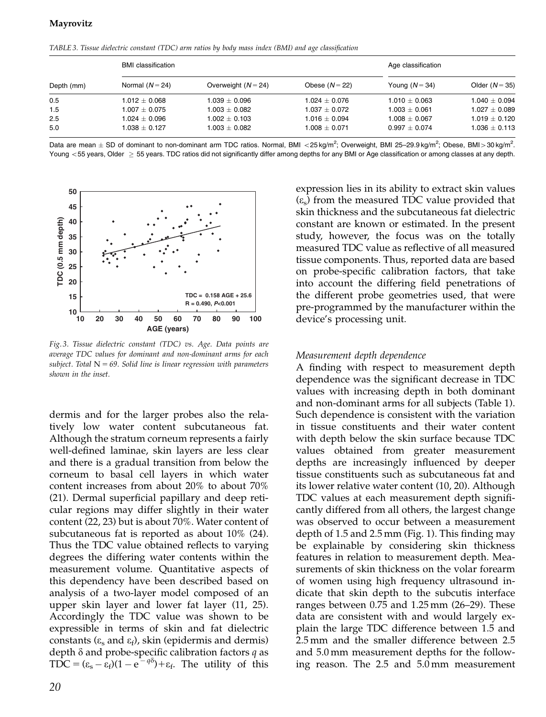TABLE 3. Tissue dielectric constant (TDC) arm ratios by body mass index (BMI) and age classification

| Depth (mm) | <b>BMI</b> classification |                       |                   | Age classification |                   |
|------------|---------------------------|-----------------------|-------------------|--------------------|-------------------|
|            | Normal $(N=24)$           | Overweight $(N = 24)$ | Obese $(N = 22)$  | Young $(N = 34)$   | Older $(N = 35)$  |
| 0.5        | $1.012 \pm 0.068$         | $1.039 \pm 0.096$     | $1.024 \pm 0.076$ | $1.010 + 0.063$    | $1.040 + 0.094$   |
| 1.5        | $1.007 + 0.075$           | $1.003 + 0.082$       | $1.037 + 0.072$   | $1.003 + 0.061$    | $1.027 + 0.089$   |
| 2.5        | $1.024 \pm 0.096$         | $1.002 \pm 0.103$     | $1.016 \pm 0.094$ | $1.008 + 0.067$    | $1.019 \pm 0.120$ |
| 5.0        | $1.038 + 0.127$           | $1.003 + 0.082$       | $1.008 \pm 0.071$ | $0.997 + 0.074$    | $1.036 \pm 0.113$ |

Data are mean  $\pm$  SD of dominant to non-dominant arm TDC ratios. Normal, BMI <25 kg/m<sup>2</sup>; Overweight, BMI 25–29.9 kg/m<sup>2</sup>; Obese, BMI > 30 kg/m<sup>2</sup>. Young  $<$  55 years, Older  $\geq$  55 years. TDC ratios did not significantly differ among depths for any BMI or Age classification or among classes at any depth.



Fig. 3. Tissue dielectric constant (TDC) vs. Age. Data points are average TDC values for dominant and non-dominant arms for each subject. Total  $N = 69$ . Solid line is linear regression with parameters shown in the inset.

dermis and for the larger probes also the relatively low water content subcutaneous fat. Although the stratum corneum represents a fairly well-defined laminae, skin layers are less clear and there is a gradual transition from below the corneum to basal cell layers in which water content increases from about 20% to about 70% (21). Dermal superficial papillary and deep reticular regions may differ slightly in their water content (22, 23) but is about 70%. Water content of subcutaneous fat is reported as about 10% (24). Thus the TDC value obtained reflects to varying degrees the differing water contents within the measurement volume. Quantitative aspects of this dependency have been described based on analysis of a two-layer model composed of an upper skin layer and lower fat layer (11, 25). Accordingly the TDC value was shown to be expressible in terms of skin and fat dielectric constants ( $\varepsilon_s$  and  $\varepsilon_f$ ), skin (epidermis and dermis) depth  $\delta$  and probe-specific calibration factors q as  $TDC = (\varepsilon_{s} - \varepsilon_{f})(1 - e^{-q\delta}) + \varepsilon_{f}$ . The utility of this

expression lies in its ability to extract skin values  $(\varepsilon_s)$  from the measured TDC value provided that skin thickness and the subcutaneous fat dielectric constant are known or estimated. In the present study, however, the focus was on the totally measured TDC value as reflective of all measured tissue components. Thus, reported data are based on probe-specific calibration factors, that take into account the differing field penetrations of the different probe geometries used, that were pre-programmed by the manufacturer within the device's processing unit.

#### Measurement depth dependence

A finding with respect to measurement depth dependence was the significant decrease in TDC values with increasing depth in both dominant and non-dominant arms for all subjects (Table 1). Such dependence is consistent with the variation in tissue constituents and their water content with depth below the skin surface because TDC values obtained from greater measurement depths are increasingly influenced by deeper tissue constituents such as subcutaneous fat and its lower relative water content (10, 20). Although TDC values at each measurement depth significantly differed from all others, the largest change was observed to occur between a measurement depth of 1.5 and 2.5 mm (Fig. 1). This finding may be explainable by considering skin thickness features in relation to measurement depth. Measurements of skin thickness on the volar forearm of women using high frequency ultrasound indicate that skin depth to the subcutis interface ranges between 0.75 and 1.25 mm (26–29). These data are consistent with and would largely explain the large TDC difference between 1.5 and 2.5 mm and the smaller difference between 2.5 and 5.0 mm measurement depths for the following reason. The 2.5 and 5.0 mm measurement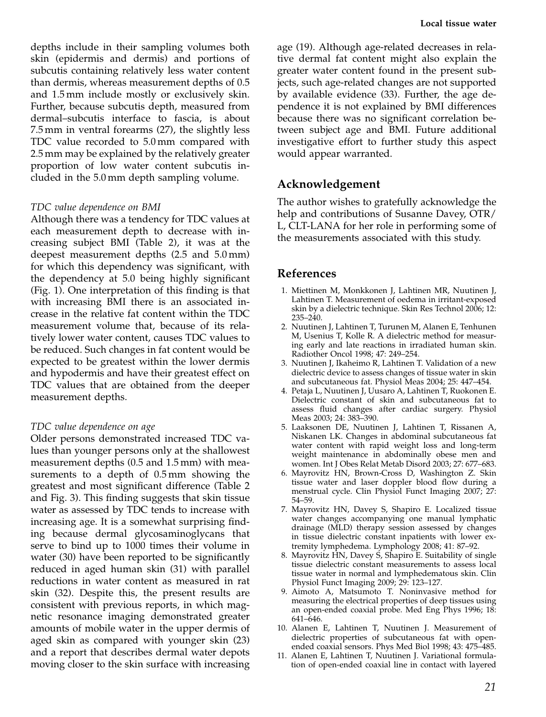depths include in their sampling volumes both skin (epidermis and dermis) and portions of subcutis containing relatively less water content than dermis, whereas measurement depths of 0.5 and 1.5 mm include mostly or exclusively skin. Further, because subcutis depth, measured from dermal–subcutis interface to fascia, is about 7.5 mm in ventral forearms (27), the slightly less TDC value recorded to 5.0 mm compared with 2.5 mm may be explained by the relatively greater proportion of low water content subcutis included in the 5.0 mm depth sampling volume.

#### TDC value dependence on BMI

Although there was a tendency for TDC values at each measurement depth to decrease with increasing subject BMI (Table 2), it was at the deepest measurement depths (2.5 and 5.0 mm) for which this dependency was significant, with the dependency at 5.0 being highly significant (Fig. 1). One interpretation of this finding is that with increasing BMI there is an associated increase in the relative fat content within the TDC measurement volume that, because of its relatively lower water content, causes TDC values to be reduced. Such changes in fat content would be expected to be greatest within the lower dermis and hypodermis and have their greatest effect on TDC values that are obtained from the deeper measurement depths.

#### TDC value dependence on age

Older persons demonstrated increased TDC values than younger persons only at the shallowest measurement depths (0.5 and 1.5 mm) with measurements to a depth of 0.5 mm showing the greatest and most significant difference (Table 2 and Fig. 3). This finding suggests that skin tissue water as assessed by TDC tends to increase with increasing age. It is a somewhat surprising finding because dermal glycosaminoglycans that serve to bind up to 1000 times their volume in water (30) have been reported to be significantly reduced in aged human skin (31) with parallel reductions in water content as measured in rat skin (32). Despite this, the present results are consistent with previous reports, in which magnetic resonance imaging demonstrated greater amounts of mobile water in the upper dermis of aged skin as compared with younger skin (23) and a report that describes dermal water depots moving closer to the skin surface with increasing

age (19). Although age-related decreases in relative dermal fat content might also explain the greater water content found in the present subjects, such age-related changes are not supported by available evidence (33). Further, the age dependence it is not explained by BMI differences because there was no significant correlation between subject age and BMI. Future additional investigative effort to further study this aspect would appear warranted.

### Acknowledgement

The author wishes to gratefully acknowledge the help and contributions of Susanne Davey, OTR/ L, CLT-LANA for her role in performing some of the measurements associated with this study.

#### References

- 1. Miettinen M, Monkkonen J, Lahtinen MR, Nuutinen J, Lahtinen T. Measurement of oedema in irritant-exposed skin by a dielectric technique. Skin Res Technol 2006; 12: 235–240.
- 2. Nuutinen J, Lahtinen T, Turunen M, Alanen E, Tenhunen M, Usenius T, Kolle R. A dielectric method for measuring early and late reactions in irradiated human skin. Radiother Oncol 1998; 47: 249–254.
- 3. Nuutinen J, Ikaheimo R, Lahtinen T. Validation of a new dielectric device to assess changes of tissue water in skin and subcutaneous fat. Physiol Meas 2004; 25: 447–454.
- 4. Petaja L, Nuutinen J, Uusaro A, Lahtinen T, Ruokonen E. Dielectric constant of skin and subcutaneous fat to assess fluid changes after cardiac surgery. Physiol Meas 2003; 24: 383–390.
- 5. Laaksonen DE, Nuutinen J, Lahtinen T, Rissanen A, Niskanen LK. Changes in abdominal subcutaneous fat water content with rapid weight loss and long-term weight maintenance in abdominally obese men and women. Int J Obes Relat Metab Disord 2003; 27: 677–683.
- 6. Mayrovitz HN, Brown-Cross D, Washington Z. Skin tissue water and laser doppler blood flow during a menstrual cycle. Clin Physiol Funct Imaging 2007; 27: 54–59.
- 7. Mayrovitz HN, Davey S, Shapiro E. Localized tissue water changes accompanying one manual lymphatic drainage (MLD) therapy session assessed by changes in tissue dielectric constant inpatients with lower extremity lymphedema. Lymphology 2008; 41: 87–92.
- 8. Mayrovitz HN, Davey S, Shapiro E. Suitability of single tissue dielectric constant measurements to assess local tissue water in normal and lymphedematous skin. Clin Physiol Funct Imaging 2009; 29: 123–127.
- 9. Aimoto A, Matsumoto T. Noninvasive method for measuring the electrical properties of deep tissues using an open-ended coaxial probe. Med Eng Phys 1996; 18: 641–646.
- 10. Alanen E, Lahtinen T, Nuutinen J. Measurement of dielectric properties of subcutaneous fat with openended coaxial sensors. Phys Med Biol 1998; 43: 475–485.
- 11. Alanen E, Lahtinen T, Nuutinen J. Variational formulation of open-ended coaxial line in contact with layered